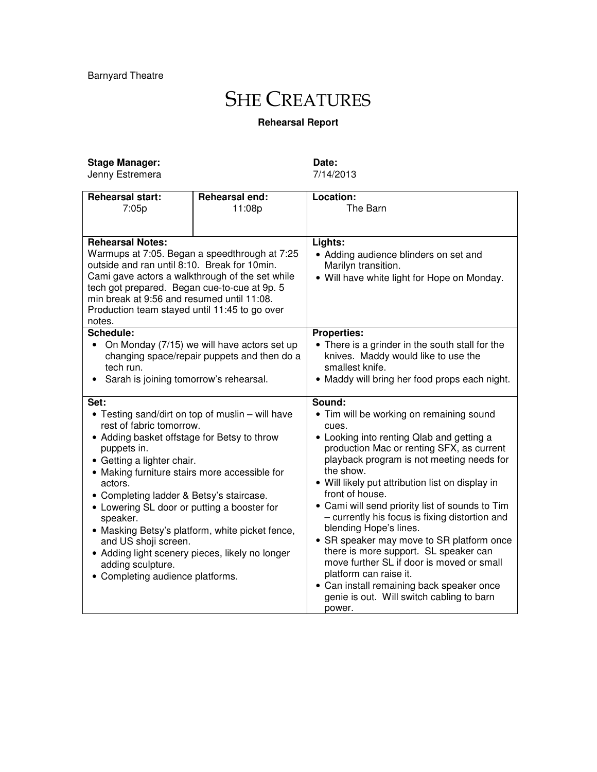## **SHE CREATURES**

## **Rehearsal Report**

| <b>Stage Manager:</b> |
|-----------------------|
|                       |

Jenny Estremera

**Date:** 7/14/2013

| <b>Rehearsal start:</b>                          | Rehearsal end:                                  | Location:                                        |
|--------------------------------------------------|-------------------------------------------------|--------------------------------------------------|
| 7:05p                                            | 11:08p                                          | The Barn                                         |
|                                                  |                                                 |                                                  |
| <b>Rehearsal Notes:</b>                          |                                                 | Lights:                                          |
| Warmups at 7:05. Began a speedthrough at 7:25    |                                                 | • Adding audience blinders on set and            |
| outside and ran until 8:10. Break for 10min.     |                                                 | Marilyn transition.                              |
| Cami gave actors a walkthrough of the set while  |                                                 | • Will have white light for Hope on Monday.      |
| tech got prepared. Began cue-to-cue at 9p. 5     |                                                 |                                                  |
| min break at 9:56 and resumed until 11:08.       |                                                 |                                                  |
| Production team stayed until 11:45 to go over    |                                                 |                                                  |
| notes.                                           |                                                 |                                                  |
| <b>Schedule:</b>                                 |                                                 | <b>Properties:</b>                               |
| • On Monday (7/15) we will have actors set up    |                                                 | • There is a grinder in the south stall for the  |
|                                                  | changing space/repair puppets and then do a     | knives. Maddy would like to use the              |
| tech run.                                        |                                                 | smallest knife.                                  |
| Sarah is joining tomorrow's rehearsal.<br>٠      |                                                 | • Maddy will bring her food props each night.    |
|                                                  |                                                 |                                                  |
| Set:                                             |                                                 | Sound:                                           |
| • Testing sand/dirt on top of muslin – will have |                                                 | • Tim will be working on remaining sound         |
| rest of fabric tomorrow.                         |                                                 | cues.                                            |
| • Adding basket offstage for Betsy to throw      |                                                 | • Looking into renting Qlab and getting a        |
| puppets in.                                      |                                                 | production Mac or renting SFX, as current        |
| • Getting a lighter chair.                       |                                                 | playback program is not meeting needs for        |
| • Making furniture stairs more accessible for    |                                                 | the show.                                        |
| actors.                                          |                                                 | • Will likely put attribution list on display in |
| • Completing ladder & Betsy's staircase.         |                                                 | front of house.                                  |
| • Lowering SL door or putting a booster for      |                                                 | • Cami will send priority list of sounds to Tim  |
| speaker.                                         |                                                 | - currently his focus is fixing distortion and   |
|                                                  | • Masking Betsy's platform, white picket fence, | blending Hope's lines.                           |
| and US shoji screen.                             |                                                 | • SR speaker may move to SR platform once        |
| • Adding light scenery pieces, likely no longer  |                                                 | there is more support. SL speaker can            |
| adding sculpture.                                |                                                 | move further SL if door is moved or small        |
| • Completing audience platforms.                 |                                                 | platform can raise it.                           |
|                                                  |                                                 | • Can install remaining back speaker once        |
|                                                  |                                                 | genie is out. Will switch cabling to barn        |
|                                                  |                                                 | power.                                           |